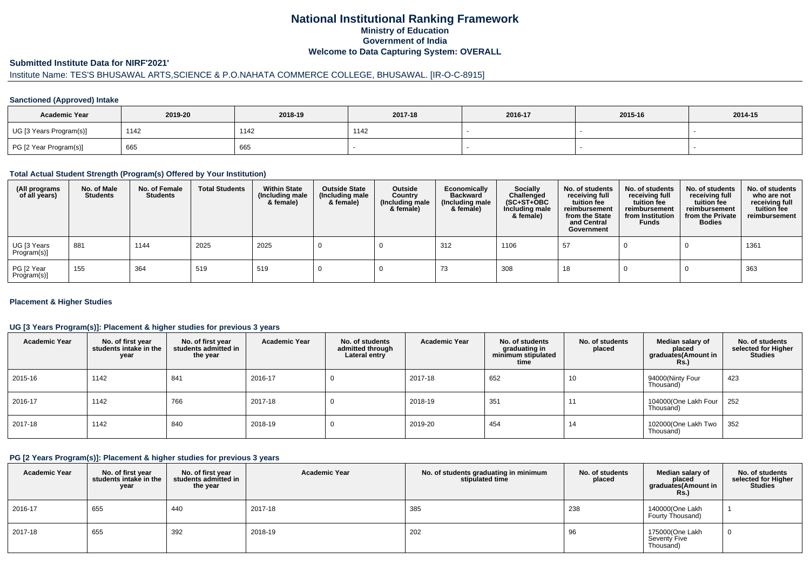# **National Institutional Ranking FrameworkMinistry of Education Government of IndiaWelcome to Data Capturing System: OVERALL**

#### **Submitted Institute Data for NIRF'2021'**

# Institute Name: TES'S BHUSAWAL ARTS,SCIENCE & P.O.NAHATA COMMERCE COLLEGE, BHUSAWAL. [IR-O-C-8915]

### **Sanctioned (Approved) Intake**

| <b>Academic Year</b>    | 2019-20 | 2018-19 | 2017-18 | 2016-17 | 2015-16 | 2014-15 |
|-------------------------|---------|---------|---------|---------|---------|---------|
| UG [3 Years Program(s)] | 1142    | 1142    | 1142    |         |         |         |
| PG [2 Year Program(s)]  | 665     | 665     |         |         |         |         |

### **Total Actual Student Strength (Program(s) Offered by Your Institution)**

| (All programs<br>of all years) | No. of Male<br><b>Students</b> | No. of Female<br><b>Students</b> | <b>Total Students</b> | <b>Within State</b><br>(Including male<br>& female) | <b>Outside State</b><br>(Including male<br>& female) | Outside<br>Country<br>(Including male<br>& female) | Economically<br><b>Backward</b><br>(Including male<br>& female) | <b>Socially</b><br>Challenged<br>$(SC+ST+OBC)$<br>Including male<br>& female) | No. of students<br>receiving full<br>tuition fee<br>reimbursement<br>from the State<br>and Central<br>Government | No. of students<br>receiving full<br>tuition fee<br>reimbursement<br>from Institution<br><b>Funds</b> | No. of students<br>receiving full<br>tuition fee<br>reimbursement<br>from the Private<br><b>Bodies</b> | No. of students<br>who are not<br>receiving full<br>tuition fee<br>reimbursement |
|--------------------------------|--------------------------------|----------------------------------|-----------------------|-----------------------------------------------------|------------------------------------------------------|----------------------------------------------------|-----------------------------------------------------------------|-------------------------------------------------------------------------------|------------------------------------------------------------------------------------------------------------------|-------------------------------------------------------------------------------------------------------|--------------------------------------------------------------------------------------------------------|----------------------------------------------------------------------------------|
| UG [3 Years<br>Program(s)]     | 881                            | 1144                             | 2025                  | 2025                                                |                                                      |                                                    | 312                                                             | 1106                                                                          | 57                                                                                                               |                                                                                                       |                                                                                                        | 1361                                                                             |
| PG [2 Year<br>Program(s)]      | 155                            | 364                              | 519                   | 519                                                 |                                                      |                                                    | 73                                                              | 308                                                                           | 18                                                                                                               |                                                                                                       |                                                                                                        | 363                                                                              |

### **Placement & Higher Studies**

### **UG [3 Years Program(s)]: Placement & higher studies for previous 3 years**

| <b>Academic Year</b> | No. of first year<br>students intake in the<br>year | No. of first vear<br>students admitted in<br>the year | <b>Academic Year</b> | No. of students<br>admitted through<br>Lateral entry | <b>Academic Year</b> | No. of students<br>graduating in<br>minimum stipulated<br>time | No. of students<br>placed | Median salary of<br>placed<br>graduates(Amount in<br>Rs. | No. of students<br>selected for Higher<br><b>Studies</b> |
|----------------------|-----------------------------------------------------|-------------------------------------------------------|----------------------|------------------------------------------------------|----------------------|----------------------------------------------------------------|---------------------------|----------------------------------------------------------|----------------------------------------------------------|
| 2015-16              | 1142                                                | 841                                                   | 2016-17              | U                                                    | 2017-18              | 652                                                            | 10                        | 94000(Ninty Four<br>Thousand)                            | 423                                                      |
| 2016-17              | 1142                                                | 766                                                   | 2017-18              | U                                                    | 2018-19              | 351                                                            | 11                        | 104000(One Lakh Four<br>Thousand)                        | 252                                                      |
| 2017-18              | 1142                                                | 840                                                   | 2018-19              | υ                                                    | 2019-20              | 454                                                            | 14                        | 102000(One Lakh Two<br>Thousand)                         | 352                                                      |

### **PG [2 Years Program(s)]: Placement & higher studies for previous 3 years**

| <b>Academic Year</b> | No. of first year<br>students intake in the<br>year | No. of first vear<br>students admitted in<br>the year | <b>Academic Year</b> | No. of students graduating in minimum<br>stipulated time | No. of students<br>placed | Median salary of<br>placed<br>graduates(Amount in<br><b>Rs.)</b> | No. of students<br>selected for Higher<br><b>Studies</b> |
|----------------------|-----------------------------------------------------|-------------------------------------------------------|----------------------|----------------------------------------------------------|---------------------------|------------------------------------------------------------------|----------------------------------------------------------|
| $12016 - 17$         | 655                                                 | 440                                                   | 2017-18              | 385                                                      | 238                       | 140000(One Lakh<br>Fourty Thousand)                              |                                                          |
| 2017-18              | 655                                                 | 392                                                   | 2018-19              | 202                                                      | 96                        | 175000(One Lakh<br>Seventy Five<br>Thousand)                     | 0                                                        |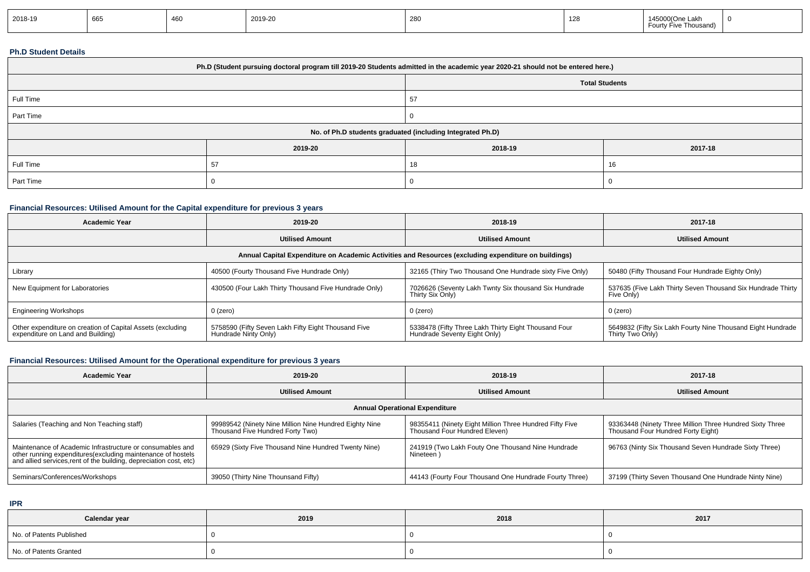|--|

### **Ph.D Student Details**

| Ph.D (Student pursuing doctoral program till 2019-20 Students admitted in the academic year 2020-21 should not be entered here.) |         |         |         |  |  |  |
|----------------------------------------------------------------------------------------------------------------------------------|---------|---------|---------|--|--|--|
| <b>Total Students</b>                                                                                                            |         |         |         |  |  |  |
| Full Time                                                                                                                        |         | 57      |         |  |  |  |
| Part Time                                                                                                                        |         |         |         |  |  |  |
| No. of Ph.D students graduated (including Integrated Ph.D)                                                                       |         |         |         |  |  |  |
|                                                                                                                                  | 2019-20 | 2018-19 | 2017-18 |  |  |  |
| Full Time                                                                                                                        | 57      | 18      | 16      |  |  |  |
| Part Time                                                                                                                        |         |         |         |  |  |  |

# **Financial Resources: Utilised Amount for the Capital expenditure for previous 3 years**

| <b>Academic Year</b>                                                                                 | 2019-20                                                                     | 2018-19                                                                              | 2017-18                                                                         |  |  |  |  |
|------------------------------------------------------------------------------------------------------|-----------------------------------------------------------------------------|--------------------------------------------------------------------------------------|---------------------------------------------------------------------------------|--|--|--|--|
|                                                                                                      | <b>Utilised Amount</b>                                                      | <b>Utilised Amount</b>                                                               | <b>Utilised Amount</b>                                                          |  |  |  |  |
| Annual Capital Expenditure on Academic Activities and Resources (excluding expenditure on buildings) |                                                                             |                                                                                      |                                                                                 |  |  |  |  |
| Library                                                                                              | 40500 (Fourty Thousand Five Hundrade Only)                                  | 32165 (Thiry Two Thousand One Hundrade sixty Five Only)                              | 50480 (Fifty Thousand Four Hundrade Eighty Only)                                |  |  |  |  |
| New Equipment for Laboratories                                                                       | 430500 (Four Lakh Thirty Thousand Five Hundrade Only)                       | 7026626 (Seventy Lakh Twnty Six thousand Six Hundrade<br>Thirty Six Only)            | 537635 (Five Lakh Thirty Seven Thousand Six Hundrade Thirty<br>Five Only)       |  |  |  |  |
| <b>Engineering Workshops</b>                                                                         | $0$ (zero)                                                                  | 0 (zero)                                                                             | 0 (zero)                                                                        |  |  |  |  |
| Other expenditure on creation of Capital Assets (excluding<br>expenditure on Land and Building)      | 5758590 (Fifty Seven Lakh Fifty Eight Thousand Five<br>Hundrade Ninty Only) | 5338478 (Fifty Three Lakh Thirty Eight Thousand Four<br>Hundrade Seventy Eight Only) | 5649832 (Fifty Six Lakh Fourty Nine Thousand Eight Hundrade<br>Thirty Two Only) |  |  |  |  |

# **Financial Resources: Utilised Amount for the Operational expenditure for previous 3 years**

| <b>Academic Year</b>                                                                                                                                                                           | 2019-20                                                                                    | 2018-19                                                                                  | 2017-18                                                                                        |  |  |  |  |
|------------------------------------------------------------------------------------------------------------------------------------------------------------------------------------------------|--------------------------------------------------------------------------------------------|------------------------------------------------------------------------------------------|------------------------------------------------------------------------------------------------|--|--|--|--|
|                                                                                                                                                                                                | <b>Utilised Amount</b>                                                                     | <b>Utilised Amount</b>                                                                   | <b>Utilised Amount</b>                                                                         |  |  |  |  |
| <b>Annual Operational Expenditure</b>                                                                                                                                                          |                                                                                            |                                                                                          |                                                                                                |  |  |  |  |
| Salaries (Teaching and Non Teaching staff)                                                                                                                                                     | 99989542 (Ninety Nine Million Nine Hundred Eighty Nine<br>Thousand Five Hundred Forty Two) | 98355411 (Ninety Eight Million Three Hundred Fifty Five<br>Thousand Four Hundred Eleven) | 93363448 (Ninety Three Million Three Hundred Sixty Three<br>Thousand Four Hundred Forty Eight) |  |  |  |  |
| Maintenance of Academic Infrastructure or consumables and<br>other running expenditures(excluding maintenance of hostels<br>and allied services, rent of the building, depreciation cost, etc) | 65929 (Sixty Five Thousand Nine Hundred Twenty Nine)                                       | 241919 (Two Lakh Fouty One Thousand Nine Hundrade<br>Nineteen)                           | 96763 (Ninty Six Thousand Seven Hundrade Sixty Three)                                          |  |  |  |  |
| Seminars/Conferences/Workshops                                                                                                                                                                 | 39050 (Thirty Nine Thounsand Fifty)                                                        | 44143 (Fourty Four Thousand One Hundrade Fourty Three)                                   | 37199 (Thirty Seven Thousand One Hundrade Ninty Nine)                                          |  |  |  |  |

**IPR**

| Calendar year            | 2019 | 2018 | 2017 |
|--------------------------|------|------|------|
| No. of Patents Published |      |      |      |
| No. of Patents Granted   |      |      |      |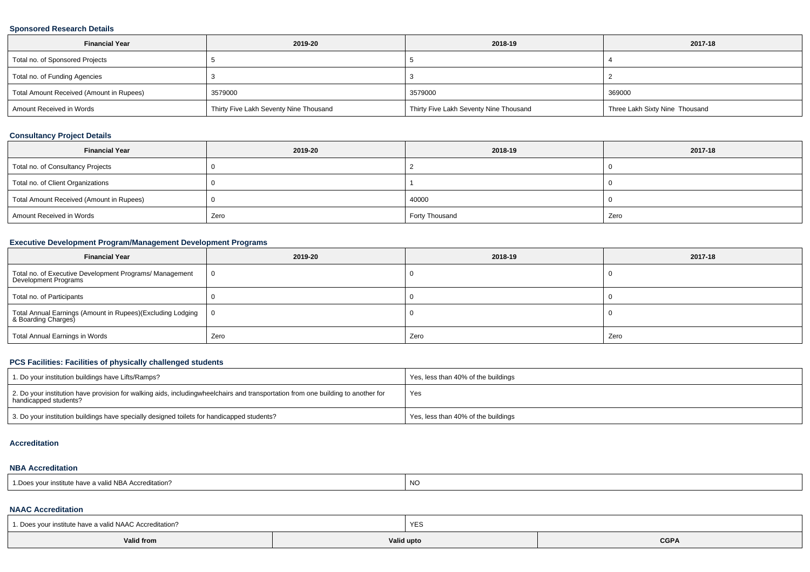### **Sponsored Research Details**

| <b>Financial Year</b>                    | 2019-20                                | 2018-19                                | 2017-18                        |
|------------------------------------------|----------------------------------------|----------------------------------------|--------------------------------|
| Total no. of Sponsored Projects          |                                        |                                        |                                |
| Total no. of Funding Agencies            |                                        |                                        |                                |
| Total Amount Received (Amount in Rupees) | 3579000                                | 3579000                                | 369000                         |
| Amount Received in Words                 | Thirty Five Lakh Seventy Nine Thousand | Thirty Five Lakh Seventy Nine Thousand | Three Lakh Sixty Nine Thousand |

### **Consultancy Project Details**

| <b>Financial Year</b>                    | 2019-20 | 2018-19        | 2017-18 |
|------------------------------------------|---------|----------------|---------|
| Total no. of Consultancy Projects        |         |                |         |
| Total no. of Client Organizations        |         |                |         |
| Total Amount Received (Amount in Rupees) |         | 40000          |         |
| Amount Received in Words                 | Zero    | Forty Thousand | Zero    |

# **Executive Development Program/Management Development Programs**

| <b>Financial Year</b>                                                             | 2019-20        | 2018-19 | 2017-18 |
|-----------------------------------------------------------------------------------|----------------|---------|---------|
| Total no. of Executive Development Programs/ Management<br>Development Programs   | $\overline{0}$ |         |         |
| Total no. of Participants                                                         |                |         |         |
| Total Annual Earnings (Amount in Rupees)(Excluding Lodging<br>& Boarding Charges) | - 0            |         |         |
| <b>Total Annual Earnings in Words</b>                                             | Zero           | Zero    | Zero    |

# **PCS Facilities: Facilities of physically challenged students**

| 1. Do your institution buildings have Lifts/Ramps?                                                                                                        | Yes, less than 40% of the buildings |
|-----------------------------------------------------------------------------------------------------------------------------------------------------------|-------------------------------------|
| 2. Do your institution have provision for walking aids, includingwheelchairs and transportation from one building to another for<br>handicapped students? | Yes                                 |
| 3. Do your institution buildings have specially designed toilets for handicapped students?                                                                | Yes, less than 40% of the buildings |

#### **Accreditation**

#### **NBA Accreditation**

| r institute have a valid NBA Accreditation?<br><sup>1</sup> Does your in. | <b>NO</b> |
|---------------------------------------------------------------------------|-----------|
|---------------------------------------------------------------------------|-----------|

### **NAAC Accreditation**

| 1. Does your institute have a valid NAAC Accreditation? |            | YES |             |  |  |
|---------------------------------------------------------|------------|-----|-------------|--|--|
| Valid from                                              | Valid upto |     | <b>CGPA</b> |  |  |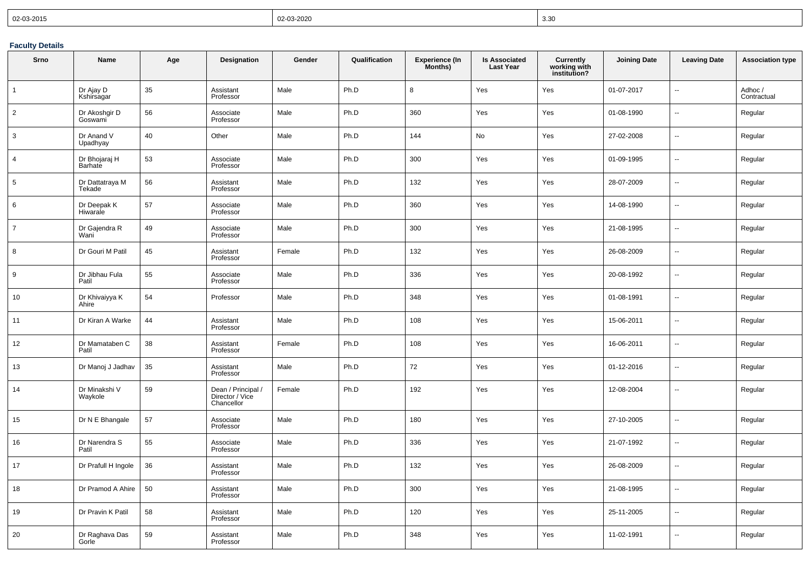| $  02 - 03 - 2015$ | 02-03-2020 | 3.30 |
|--------------------|------------|------|
|--------------------|------------|------|

# **Faculty Details**

| Srno            | Name                      | Age | Designation                                       | Gender | Qualification | <b>Experience (In</b><br>Months) | <b>Is Associated</b><br><b>Last Year</b> | Currently<br>working with<br>institution? | <b>Joining Date</b> | <b>Leaving Date</b>      | <b>Association type</b> |
|-----------------|---------------------------|-----|---------------------------------------------------|--------|---------------|----------------------------------|------------------------------------------|-------------------------------------------|---------------------|--------------------------|-------------------------|
| $\mathbf{1}$    | Dr Ajay D<br>Kshirsagar   | 35  | Assistant<br>Professor                            | Male   | Ph.D          | 8                                | Yes                                      | Yes                                       | 01-07-2017          | ÷.                       | Adhoc /<br>Contractual  |
| $\overline{2}$  | Dr Akoshgir D<br>Goswami  | 56  | Associate<br>Professor                            | Male   | Ph.D          | 360                              | Yes                                      | Yes                                       | 01-08-1990          | --                       | Regular                 |
| $\mathbf{3}$    | Dr Anand V<br>Upadhyay    | 40  | Other                                             | Male   | Ph.D          | 144                              | No                                       | Yes                                       | 27-02-2008          | ц.                       | Regular                 |
| $\overline{4}$  | Dr Bhojaraj H<br>Barhate  | 53  | Associate<br>Professor                            | Male   | Ph.D          | 300                              | Yes                                      | Yes                                       | 01-09-1995          | Ξ.                       | Regular                 |
| $5\phantom{.0}$ | Dr Dattatraya M<br>Tekade | 56  | Assistant<br>Professor                            | Male   | Ph.D          | 132                              | Yes                                      | Yes                                       | 28-07-2009          | L.                       | Regular                 |
| 6               | Dr Deepak K<br>Hiwarale   | 57  | Associate<br>Professor                            | Male   | Ph.D          | 360                              | Yes                                      | Yes                                       | 14-08-1990          | ц.                       | Regular                 |
| $\overline{7}$  | Dr Gajendra R<br>Wani     | 49  | Associate<br>Professor                            | Male   | Ph.D          | 300                              | Yes                                      | Yes                                       | 21-08-1995          | Ξ.                       | Regular                 |
| 8               | Dr Gouri M Patil          | 45  | Assistant<br>Professor                            | Female | Ph.D          | 132                              | Yes                                      | Yes                                       | 26-08-2009          | Ξ.                       | Regular                 |
| 9               | Dr Jibhau Fula<br>Patil   | 55  | Associate<br>Professor                            | Male   | Ph.D          | 336                              | Yes                                      | Yes                                       | 20-08-1992          | ÷.                       | Regular                 |
| 10              | Dr Khivaiyya K<br>Ahire   | 54  | Professor                                         | Male   | Ph.D          | 348                              | Yes                                      | Yes                                       | 01-08-1991          | $\overline{\phantom{a}}$ | Regular                 |
| 11              | Dr Kiran A Warke          | 44  | Assistant<br>Professor                            | Male   | Ph.D          | 108                              | Yes                                      | Yes                                       | 15-06-2011          | Ξ.                       | Regular                 |
| 12              | Dr Mamataben C<br>Patil   | 38  | Assistant<br>Professor                            | Female | Ph.D          | 108                              | Yes                                      | Yes                                       | 16-06-2011          | ä.                       | Regular                 |
| 13              | Dr Manoj J Jadhav         | 35  | Assistant<br>Professor                            | Male   | Ph.D          | 72                               | Yes                                      | Yes                                       | 01-12-2016          | ÷.                       | Regular                 |
| 14              | Dr Minakshi V<br>Waykole  | 59  | Dean / Principal<br>Director / Vice<br>Chancellor | Female | Ph.D          | 192                              | Yes                                      | Yes                                       | 12-08-2004          | Ξ.                       | Regular                 |
| 15              | Dr N E Bhangale           | 57  | Associate<br>Professor                            | Male   | Ph.D          | 180                              | Yes                                      | Yes                                       | 27-10-2005          | --                       | Regular                 |
| 16              | Dr Narendra S<br>Patil    | 55  | Associate<br>Professor                            | Male   | Ph.D          | 336                              | Yes                                      | Yes                                       | 21-07-1992          | Ξ.                       | Regular                 |
| 17              | Dr Prafull H Ingole       | 36  | Assistant<br>Professor                            | Male   | Ph.D          | 132                              | Yes                                      | Yes                                       | 26-08-2009          | --                       | Regular                 |
| 18              | Dr Pramod A Ahire         | 50  | Assistant<br>Professor                            | Male   | Ph.D          | 300                              | Yes                                      | Yes                                       | 21-08-1995          | ä.                       | Regular                 |
| 19              | Dr Pravin K Patil         | 58  | Assistant<br>Professor                            | Male   | Ph.D          | 120                              | Yes                                      | Yes                                       | 25-11-2005          | Ξ.                       | Regular                 |
| 20              | Dr Raghava Das<br>Gorle   | 59  | Assistant<br>Professor                            | Male   | Ph.D          | 348                              | Yes                                      | Yes                                       | 11-02-1991          | $\ddotsc$                | Regular                 |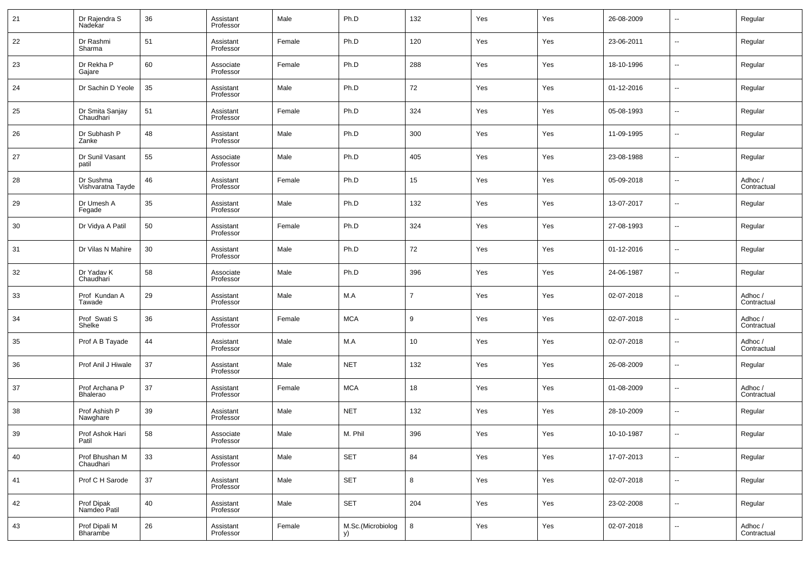| 21 | Dr Rajendra S<br>Nadekar          | 36 | Assistant<br>Professor | Male   | Ph.D                    | 132            | Yes | Yes | 26-08-2009 | $\overline{\phantom{a}}$ | Regular                |
|----|-----------------------------------|----|------------------------|--------|-------------------------|----------------|-----|-----|------------|--------------------------|------------------------|
| 22 | Dr Rashmi<br>Sharma               | 51 | Assistant<br>Professor | Female | Ph.D                    | 120            | Yes | Yes | 23-06-2011 | $\overline{\phantom{a}}$ | Regular                |
| 23 | Dr Rekha P<br>Gajare              | 60 | Associate<br>Professor | Female | Ph.D                    | 288            | Yes | Yes | 18-10-1996 | $\overline{\phantom{a}}$ | Regular                |
| 24 | Dr Sachin D Yeole                 | 35 | Assistant<br>Professor | Male   | Ph.D                    | 72             | Yes | Yes | 01-12-2016 | $\overline{\phantom{a}}$ | Regular                |
| 25 | Dr Smita Sanjay<br>Chaudhari      | 51 | Assistant<br>Professor | Female | Ph.D                    | 324            | Yes | Yes | 05-08-1993 | $\overline{\phantom{a}}$ | Regular                |
| 26 | Dr Subhash P<br>Zanke             | 48 | Assistant<br>Professor | Male   | Ph.D                    | 300            | Yes | Yes | 11-09-1995 | $\overline{\phantom{a}}$ | Regular                |
| 27 | Dr Sunil Vasant<br>patil          | 55 | Associate<br>Professor | Male   | Ph.D                    | 405            | Yes | Yes | 23-08-1988 | $\overline{\phantom{a}}$ | Regular                |
| 28 | Dr Sushma<br>Vishvaratna Tayde    | 46 | Assistant<br>Professor | Female | Ph.D                    | 15             | Yes | Yes | 05-09-2018 | $\overline{\phantom{a}}$ | Adhoc /<br>Contractual |
| 29 | Dr Umesh A<br>Fegade              | 35 | Assistant<br>Professor | Male   | Ph.D                    | 132            | Yes | Yes | 13-07-2017 | $\overline{\phantom{a}}$ | Regular                |
| 30 | Dr Vidya A Patil                  | 50 | Assistant<br>Professor | Female | Ph.D                    | 324            | Yes | Yes | 27-08-1993 | $\overline{\phantom{a}}$ | Regular                |
| 31 | Dr Vilas N Mahire                 | 30 | Assistant<br>Professor | Male   | Ph.D                    | 72             | Yes | Yes | 01-12-2016 | $\overline{\phantom{a}}$ | Regular                |
| 32 | Dr Yadav K<br>Chaudhari           | 58 | Associate<br>Professor | Male   | Ph.D                    | 396            | Yes | Yes | 24-06-1987 | $\overline{\phantom{a}}$ | Regular                |
| 33 | Prof Kundan A<br>Tawade           | 29 | Assistant<br>Professor | Male   | M.A                     | $\overline{7}$ | Yes | Yes | 02-07-2018 | $\overline{\phantom{a}}$ | Adhoc /<br>Contractual |
| 34 | Prof Swati S<br>Shelke            | 36 | Assistant<br>Professor | Female | <b>MCA</b>              | 9              | Yes | Yes | 02-07-2018 | $\overline{\phantom{a}}$ | Adhoc /<br>Contractual |
| 35 | Prof A B Tayade                   | 44 | Assistant<br>Professor | Male   | M.A                     | 10             | Yes | Yes | 02-07-2018 | $\overline{\phantom{a}}$ | Adhoc /<br>Contractual |
| 36 | Prof Anil J Hiwale                | 37 | Assistant<br>Professor | Male   | <b>NET</b>              | 132            | Yes | Yes | 26-08-2009 | $\overline{\phantom{a}}$ | Regular                |
| 37 | Prof Archana P<br><b>Bhalerao</b> | 37 | Assistant<br>Professor | Female | <b>MCA</b>              | 18             | Yes | Yes | 01-08-2009 | $\overline{\phantom{a}}$ | Adhoc /<br>Contractual |
| 38 | Prof Ashish P<br>Nawghare         | 39 | Assistant<br>Professor | Male   | <b>NET</b>              | 132            | Yes | Yes | 28-10-2009 | $\overline{\phantom{a}}$ | Regular                |
| 39 | Prof Ashok Hari<br>Patil          | 58 | Associate<br>Professor | Male   | M. Phil                 | 396            | Yes | Yes | 10-10-1987 | --                       | Regular                |
| 40 | Prof Bhushan M<br>Chaudhari       | 33 | Assistant<br>Professor | Male   | <b>SET</b>              | 84             | Yes | Yes | 17-07-2013 | $\overline{\phantom{a}}$ | Regular                |
| 41 | Prof C H Sarode                   | 37 | Assistant<br>Professor | Male   | SET                     | 8              | Yes | Yes | 02-07-2018 | $\overline{\phantom{a}}$ | Regular                |
| 42 | Prof Dipak<br>Namdeo Patil        | 40 | Assistant<br>Professor | Male   | SET                     | 204            | Yes | Yes | 23-02-2008 | $\overline{\phantom{a}}$ | Regular                |
| 43 | Prof Dipali M<br>Bharambe         | 26 | Assistant<br>Professor | Female | M.Sc.(Microbiolog<br>y) | 8              | Yes | Yes | 02-07-2018 | ۰.                       | Adhoc /<br>Contractual |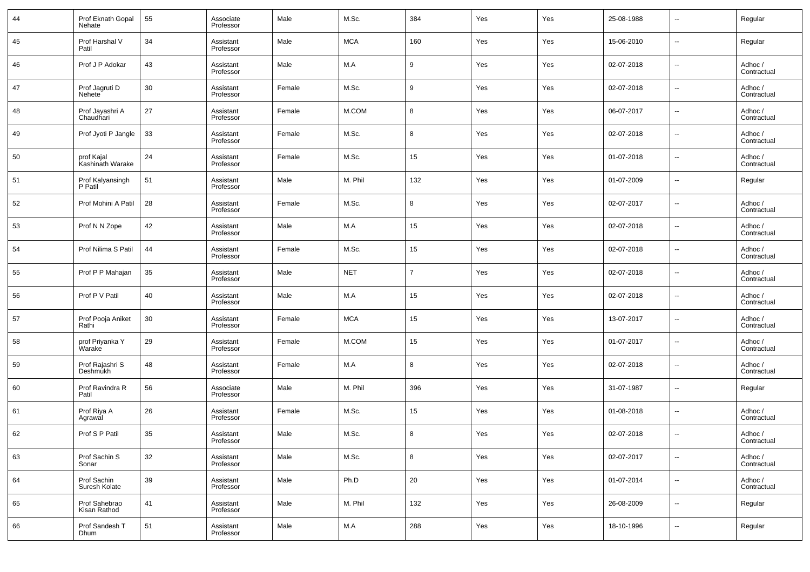| 44 | Prof Eknath Gopal<br>Nehate           | 55 | Associate<br>Professor | Male   | M.Sc.      | 384            | Yes | Yes | 25-08-1988 | ٠.                       | Regular                |
|----|---------------------------------------|----|------------------------|--------|------------|----------------|-----|-----|------------|--------------------------|------------------------|
| 45 | Prof Harshal V<br>Patil               | 34 | Assistant<br>Professor | Male   | <b>MCA</b> | 160            | Yes | Yes | 15-06-2010 | $\sim$                   | Regular                |
| 46 | Prof J P Adokar                       | 43 | Assistant<br>Professor | Male   | M.A        | 9              | Yes | Yes | 02-07-2018 | ٠.                       | Adhoc /<br>Contractual |
| 47 | Prof Jagruti D<br>Nehete <sup>7</sup> | 30 | Assistant<br>Professor | Female | M.Sc.      | 9              | Yes | Yes | 02-07-2018 | $\sim$                   | Adhoc /<br>Contractual |
| 48 | Prof Jayashri A<br>Chaudhari          | 27 | Assistant<br>Professor | Female | M.COM      | 8              | Yes | Yes | 06-07-2017 | $\sim$                   | Adhoc /<br>Contractual |
| 49 | Prof Jyoti P Jangle                   | 33 | Assistant<br>Professor | Female | M.Sc.      | 8              | Yes | Yes | 02-07-2018 | $\sim$                   | Adhoc /<br>Contractual |
| 50 | prof Kajal<br>Kashinath Warake        | 24 | Assistant<br>Professor | Female | M.Sc.      | 15             | Yes | Yes | 01-07-2018 | $\overline{\phantom{a}}$ | Adhoc /<br>Contractual |
| 51 | Prof Kalyansingh<br>P Patil           | 51 | Assistant<br>Professor | Male   | M. Phil    | 132            | Yes | Yes | 01-07-2009 | ٠.                       | Regular                |
| 52 | Prof Mohini A Patil                   | 28 | Assistant<br>Professor | Female | M.Sc.      | 8              | Yes | Yes | 02-07-2017 | $\sim$                   | Adhoc /<br>Contractual |
| 53 | Prof N N Zope                         | 42 | Assistant<br>Professor | Male   | M.A        | 15             | Yes | Yes | 02-07-2018 | ٠.                       | Adhoc /<br>Contractual |
| 54 | Prof Nilima S Patil                   | 44 | Assistant<br>Professor | Female | M.Sc.      | 15             | Yes | Yes | 02-07-2018 | $\sim$                   | Adhoc /<br>Contractual |
| 55 | Prof P P Mahajan                      | 35 | Assistant<br>Professor | Male   | <b>NET</b> | $\overline{7}$ | Yes | Yes | 02-07-2018 | ٠.                       | Adhoc /<br>Contractual |
| 56 | Prof P V Patil                        | 40 | Assistant<br>Professor | Male   | M.A        | 15             | Yes | Yes | 02-07-2018 | $\sim$                   | Adhoc /<br>Contractual |
| 57 | Prof Pooja Aniket<br>Rathi            | 30 | Assistant<br>Professor | Female | <b>MCA</b> | 15             | Yes | Yes | 13-07-2017 | $\overline{\phantom{a}}$ | Adhoc /<br>Contractual |
| 58 | prof Priyanka Y<br>Warake             | 29 | Assistant<br>Professor | Female | M.COM      | 15             | Yes | Yes | 01-07-2017 | $\sim$                   | Adhoc /<br>Contractual |
| 59 | Prof Rajashri S<br>Deshmukh           | 48 | Assistant<br>Professor | Female | M.A        | 8              | Yes | Yes | 02-07-2018 | $\overline{\phantom{a}}$ | Adhoc /<br>Contractual |
| 60 | Prof Ravindra R<br>Patil              | 56 | Associate<br>Professor | Male   | M. Phil    | 396            | Yes | Yes | 31-07-1987 | $\ddotsc$                | Regular                |
| 61 | Prof Riya A<br>Agrawal                | 26 | Assistant<br>Professor | Female | M.Sc.      | 15             | Yes | Yes | 01-08-2018 | $\overline{\phantom{a}}$ | Adhoc /<br>Contractual |
| 62 | Prof S P Patil                        | 35 | Assistant<br>Professor | Male   | M.Sc.      | 8              | Yes | Yes | 02-07-2018 | $\overline{\phantom{a}}$ | Adhoc /<br>Contractual |
| 63 | Prof Sachin S<br>Sonar                | 32 | Assistant<br>Professor | Male   | M.Sc.      | 8              | Yes | Yes | 02-07-2017 | $\sim$                   | Adhoc /<br>Contractual |
| 64 | Prof Sachin<br>Suresh Kolate          | 39 | Assistant<br>Professor | Male   | Ph.D       | 20             | Yes | Yes | 01-07-2014 | $\sim$                   | Adhoc /<br>Contractual |
| 65 | Prof Sahebrao<br>Kisan Rathod         | 41 | Assistant<br>Professor | Male   | M. Phil    | 132            | Yes | Yes | 26-08-2009 | $\sim$                   | Regular                |
| 66 | Prof Sandesh T<br>Dhum                | 51 | Assistant<br>Professor | Male   | M.A        | 288            | Yes | Yes | 18-10-1996 | $\overline{\phantom{a}}$ | Regular                |